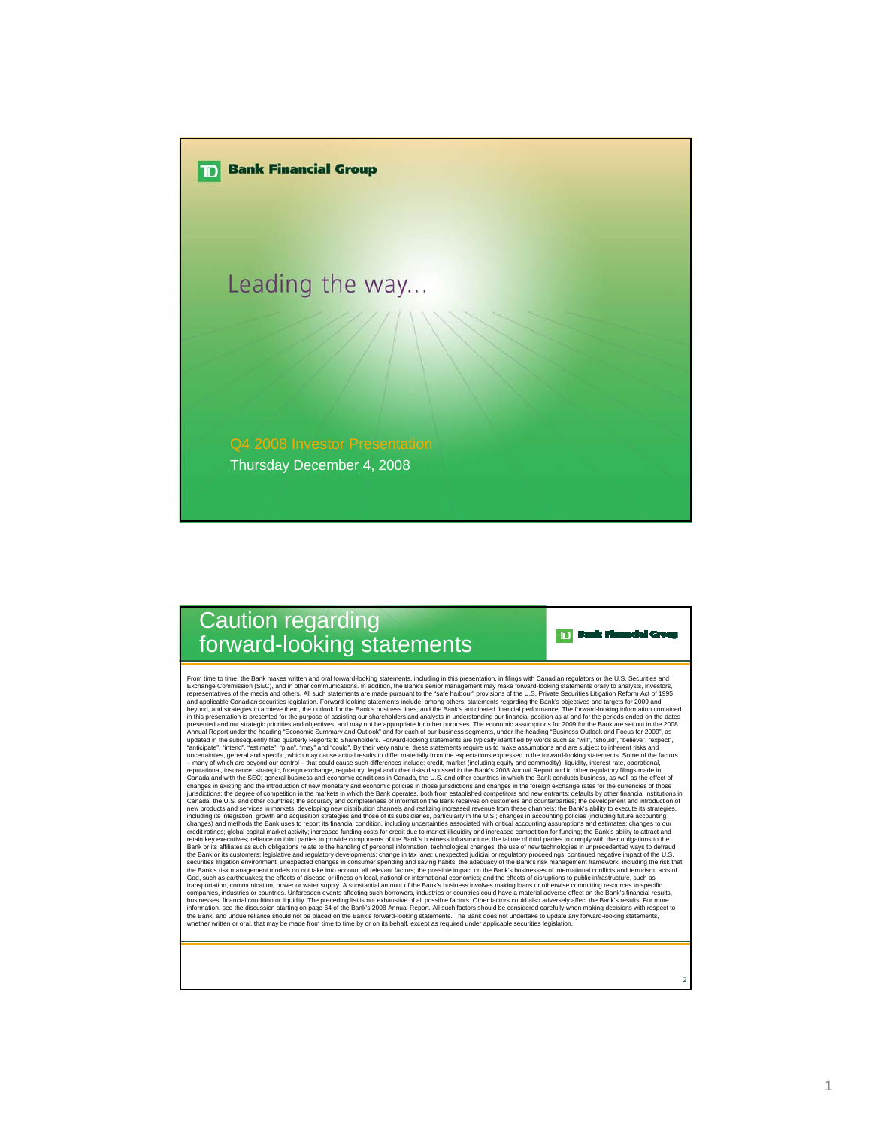

## Caution regarding forward-looking statements

Fix m lime, the Bank makes witten and oral forward-looking statements, including in this presentation, in filings with Canadian regulators or the U.S. Securities and presentation in the state of the Bank sepectrations of t securities litigation environment; unexpected changes in consumer spending and saving habits; the adequacy of the Bank's risk management framework, including the risk that<br>the Bank's risk management models do not take into God, such as earthquakes; the effects of disease or illness on local, national or international economies; and the effects of disruptions to public infrastructure, such as transportation, communication, power or water supply. A substantial amount of the Bank's business involves making loans or otherwise committing resources to specific<br>companies, industries or countries. Unforeseen events af businesses, financial condition or liquidity. The preceding list is not exhaustive of all possible factors. Other factors could also adversely affect the Bank's results. For more<br>information, see the discussion starting on the Bank, and undue reliance should not be placed on the Bank's forward-looking statements. The Bank does not undertake to update any forward-looking statements,<br>whether written or oral, that may be made from time to time

2

**TD** Bank Munaclei Group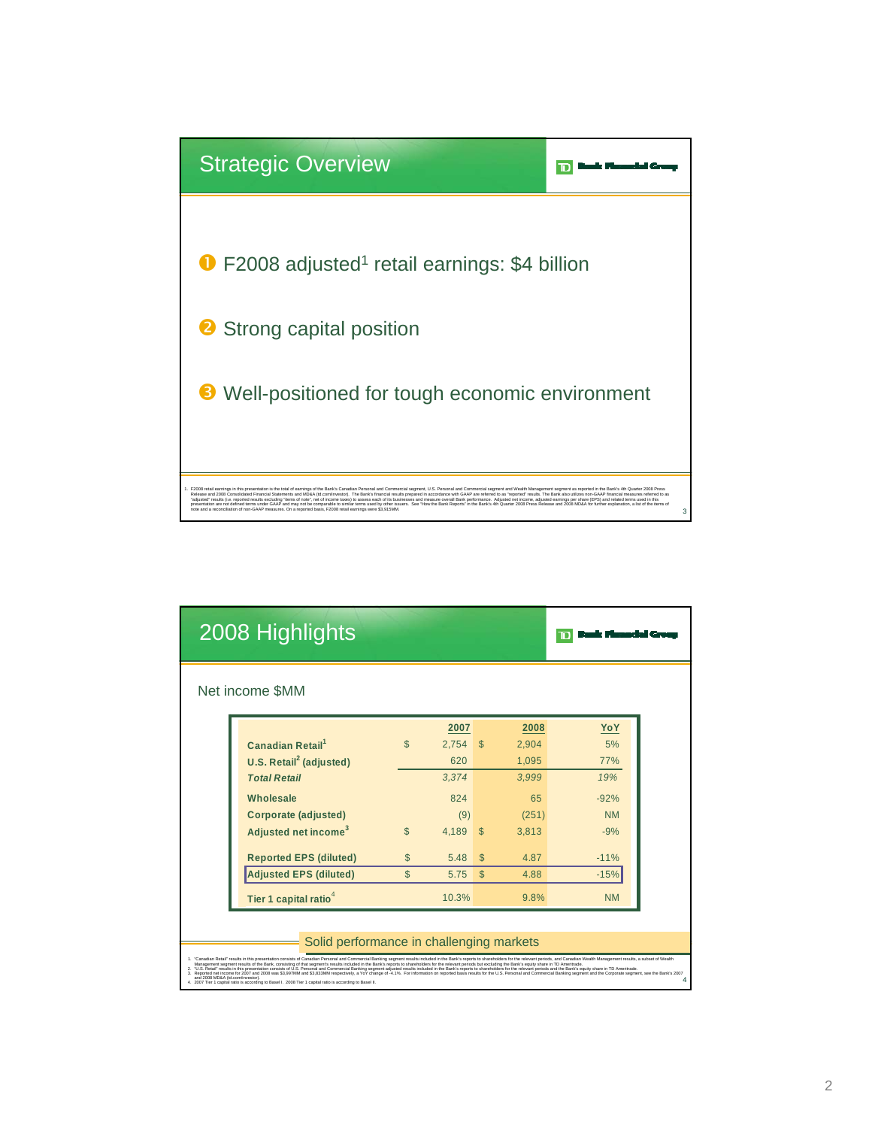

|                                  | 2008 Highlights                                                                                                                                                                                                                                                                                                                                                                                                                                                                                                                                                                                                                                                                                                                                                                                                                                                                                                                                                                                                                |                |            |              |       |           |
|----------------------------------|--------------------------------------------------------------------------------------------------------------------------------------------------------------------------------------------------------------------------------------------------------------------------------------------------------------------------------------------------------------------------------------------------------------------------------------------------------------------------------------------------------------------------------------------------------------------------------------------------------------------------------------------------------------------------------------------------------------------------------------------------------------------------------------------------------------------------------------------------------------------------------------------------------------------------------------------------------------------------------------------------------------------------------|----------------|------------|--------------|-------|-----------|
|                                  | Net income \$MM                                                                                                                                                                                                                                                                                                                                                                                                                                                                                                                                                                                                                                                                                                                                                                                                                                                                                                                                                                                                                |                |            |              |       |           |
|                                  |                                                                                                                                                                                                                                                                                                                                                                                                                                                                                                                                                                                                                                                                                                                                                                                                                                                                                                                                                                                                                                |                | 2007       |              | 2008  | YoY       |
|                                  | <b>Canadian Retail</b> <sup>1</sup>                                                                                                                                                                                                                                                                                                                                                                                                                                                                                                                                                                                                                                                                                                                                                                                                                                                                                                                                                                                            | $\mathfrak{L}$ | $2.754$ \$ |              | 2.904 | 5%        |
|                                  | U.S. Retail <sup>2</sup> (adjusted)                                                                                                                                                                                                                                                                                                                                                                                                                                                                                                                                                                                                                                                                                                                                                                                                                                                                                                                                                                                            |                | 620        |              | 1.095 | 77%       |
|                                  | <b>Total Retail</b>                                                                                                                                                                                                                                                                                                                                                                                                                                                                                                                                                                                                                                                                                                                                                                                                                                                                                                                                                                                                            |                | 3,374      |              | 3.999 | 19%       |
|                                  | Wholesale                                                                                                                                                                                                                                                                                                                                                                                                                                                                                                                                                                                                                                                                                                                                                                                                                                                                                                                                                                                                                      |                | 824        |              | 65    | $-92%$    |
|                                  | Corporate (adjusted)                                                                                                                                                                                                                                                                                                                                                                                                                                                                                                                                                                                                                                                                                                                                                                                                                                                                                                                                                                                                           |                | (9)        |              | (251) | <b>NM</b> |
|                                  | Adjusted net income <sup>3</sup>                                                                                                                                                                                                                                                                                                                                                                                                                                                                                                                                                                                                                                                                                                                                                                                                                                                                                                                                                                                               | $\mathfrak{L}$ | 4.189      | $\mathsf{S}$ | 3.813 | $-9%$     |
|                                  | <b>Reported EPS (diluted)</b>                                                                                                                                                                                                                                                                                                                                                                                                                                                                                                                                                                                                                                                                                                                                                                                                                                                                                                                                                                                                  | $\mathbb{S}$   | 5.48       | $\mathbb{S}$ | 487   | $-11%$    |
|                                  | <b>Adjusted EPS (diluted)</b>                                                                                                                                                                                                                                                                                                                                                                                                                                                                                                                                                                                                                                                                                                                                                                                                                                                                                                                                                                                                  | $\mathcal{S}$  | 5.75       | \$           | 4.88  | $-15%$    |
|                                  | Tier 1 capital ratio <sup>4</sup>                                                                                                                                                                                                                                                                                                                                                                                                                                                                                                                                                                                                                                                                                                                                                                                                                                                                                                                                                                                              |                | 10.3%      |              | 9.8%  | <b>NM</b> |
|                                  | Solid performance in challenging markets                                                                                                                                                                                                                                                                                                                                                                                                                                                                                                                                                                                                                                                                                                                                                                                                                                                                                                                                                                                       |                |            |              |       |           |
| and 2008 MD&A (td.com/investor). | 1. "Canadian Retail" results in this presentation consists of Canadian Personal and Commercial Banking segment results included in the Bank's reports to shareholders for the relevant periods, and Canadian Wealth Management<br>Management segment results of the Bank, consisting of that segment's results included in the Bank's reports to shareholders for the relevant periods but excluding the Bank's equity share in TD Ameritrade.<br>2. "U.S. Retail" results in this presentation consists of U.S. Personal and Commercial Banking segment adjusted results included in the Bank's reports to shareholders for the relevant periods and the Bank's equity share in<br>Reported net income for 2007 and 2008 was \$3,997MM and \$3,833MM respectively, a YoY change of -4.1%. For information on reported basis results for the U.S. Personal and Commercial Banking segment and the Corporate segment,<br>2007 Tier 1 capital ratio is according to Basel I. 2008 Tier 1 capital ratio is according to Basel II. |                |            |              |       |           |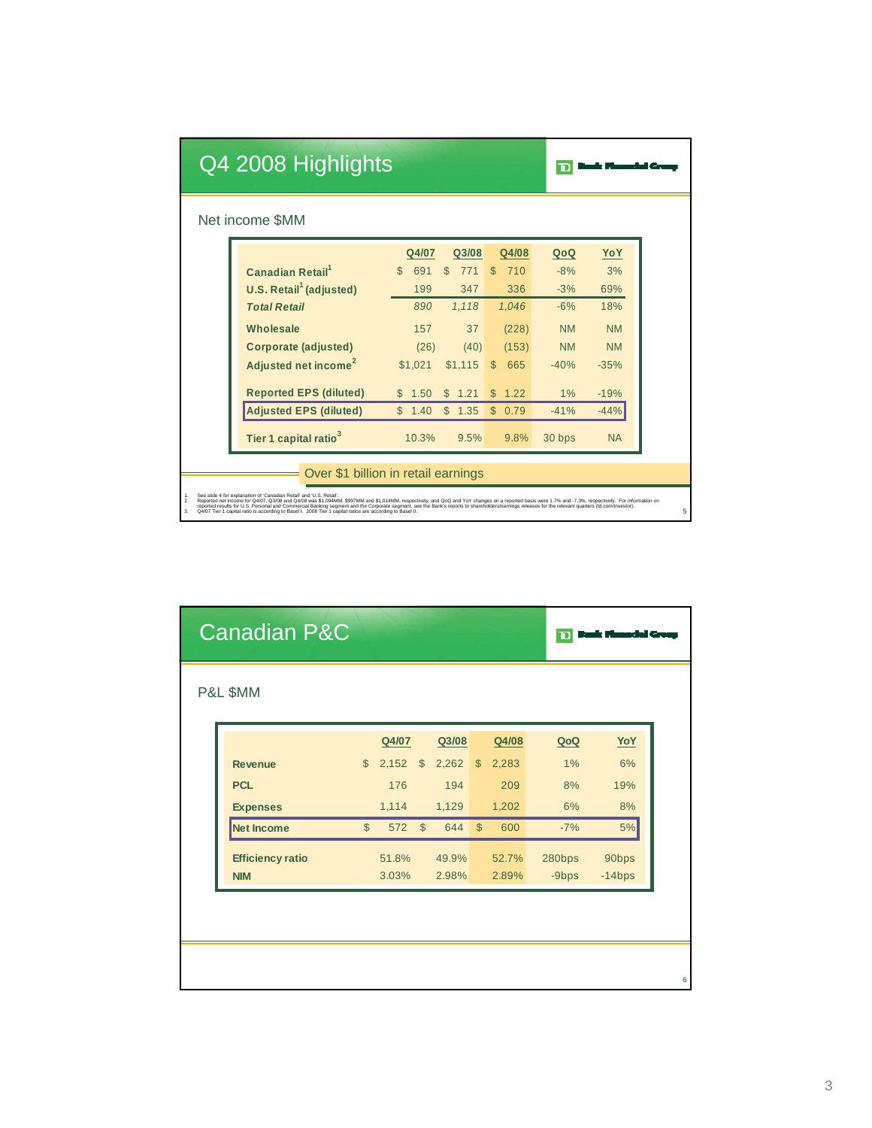|                | Q4 2008 Highlights                                                                                                                                                                                                                                                                                                                                                                                                                                                                                                                                                                             |                      |            |                     |           |           |  |
|----------------|------------------------------------------------------------------------------------------------------------------------------------------------------------------------------------------------------------------------------------------------------------------------------------------------------------------------------------------------------------------------------------------------------------------------------------------------------------------------------------------------------------------------------------------------------------------------------------------------|----------------------|------------|---------------------|-----------|-----------|--|
|                | Net income \$MM                                                                                                                                                                                                                                                                                                                                                                                                                                                                                                                                                                                |                      |            |                     |           |           |  |
|                |                                                                                                                                                                                                                                                                                                                                                                                                                                                                                                                                                                                                | Q4/07                | Q3/08      | Q4/08               | QoQ       | YoY       |  |
|                | <b>Canadian Retail</b> <sup>1</sup>                                                                                                                                                                                                                                                                                                                                                                                                                                                                                                                                                            | $\mathcal{S}$<br>691 | S<br>771   | 710<br>ß.           | $-8%$     | 3%        |  |
|                | U.S. Retail <sup>1</sup> (adjusted)                                                                                                                                                                                                                                                                                                                                                                                                                                                                                                                                                            | 199                  | 347        | 336                 | $-3%$     | 69%       |  |
|                | <b>Total Retail</b>                                                                                                                                                                                                                                                                                                                                                                                                                                                                                                                                                                            | 890                  | 1.118      | 1.046               | $-6%$     | 18%       |  |
|                | Wholesale                                                                                                                                                                                                                                                                                                                                                                                                                                                                                                                                                                                      | 157                  | 37         | (228)               | <b>NM</b> | <b>NM</b> |  |
|                | <b>Corporate (adjusted)</b>                                                                                                                                                                                                                                                                                                                                                                                                                                                                                                                                                                    | (26)                 | (40)       | (153)               | <b>NM</b> | <b>NM</b> |  |
|                | Adjusted net income <sup>2</sup>                                                                                                                                                                                                                                                                                                                                                                                                                                                                                                                                                               | \$1.021              | \$1.115    | $\mathbb{S}$<br>665 | $-40%$    | $-35%$    |  |
|                | <b>Reported EPS (diluted)</b>                                                                                                                                                                                                                                                                                                                                                                                                                                                                                                                                                                  | 1.50<br>S.           | 1.21<br>S  | S<br>1.22           | 1%        | $-19%$    |  |
|                | <b>Adjusted EPS (diluted)</b>                                                                                                                                                                                                                                                                                                                                                                                                                                                                                                                                                                  | \$<br>1.40           | \$<br>1.35 | S<br>0.79           | $-41%$    | $-44%$    |  |
|                | Tier 1 capital ratio <sup>3</sup>                                                                                                                                                                                                                                                                                                                                                                                                                                                                                                                                                              | 10.3%                | 9.5%       | 9.8%                | 30 bps    | <b>NA</b> |  |
|                | Over \$1 billion in retail earnings                                                                                                                                                                                                                                                                                                                                                                                                                                                                                                                                                            |                      |            |                     |           |           |  |
| 1.<br>2.<br>3. | See slide 4 for explanation of 'Canadian Retail' and 'U.S. Retail'.<br>Reported net income for Q4/07, Q3/08 and Q4/08 was \$1,094MM, \$997MM and \$1,014MM, respectively, and QoQ and YoY changes on a reported basis were 1.7% and -7.3%, respectively. For information on<br>reported results for U.S. Personal and Commercial Banking segment and the Corporate segment, see the Bank's reports to shareholders/earnings releases for the relevant quarters (td.com/investor).<br>Q4/07 Tier 1 capital ratio is according to Basel I. 2008 Tier 1 capital ratios are according to Basel II. |                      |            |                     |           |           |  |

| <b>Canadian P&amp;C</b> |              |       |                |       |               |       | $\mathbf T$ |            |   |
|-------------------------|--------------|-------|----------------|-------|---------------|-------|-------------|------------|---|
| P&L \$MM                |              |       |                |       |               |       |             |            |   |
|                         |              | Q4/07 |                | Q3/08 |               | Q4/08 | QoQ         | <u>YoY</u> |   |
| <b>Revenue</b>          | $\mathbb{S}$ | 2,152 | $\mathfrak{S}$ | 2,262 | $\mathbb{S}$  | 2,283 | 1%          | 6%         |   |
| <b>PCL</b>              |              | 176   |                | 194   |               | 209   | 8%          | 19%        |   |
| <b>Expenses</b>         |              | 1,114 |                | 1,129 |               | 1,202 | 6%          | 8%         |   |
| Net Income              | $\mathbb{S}$ | 572   | $\mathfrak{S}$ | 644   | $\mathcal{S}$ | 600   | $-7%$       | 5%         |   |
| <b>Efficiency ratio</b> |              | 51.8% |                | 49.9% |               | 52.7% | 280bps      | 90bps      |   |
| <b>NIM</b>              |              | 3.03% |                | 2.98% |               | 2.89% | $-9$ bps    | $-14bps$   |   |
|                         |              |       |                |       |               |       |             |            |   |
|                         |              |       |                |       |               |       |             |            |   |
|                         |              |       |                |       |               |       |             |            |   |
|                         |              |       |                |       |               |       |             |            | 6 |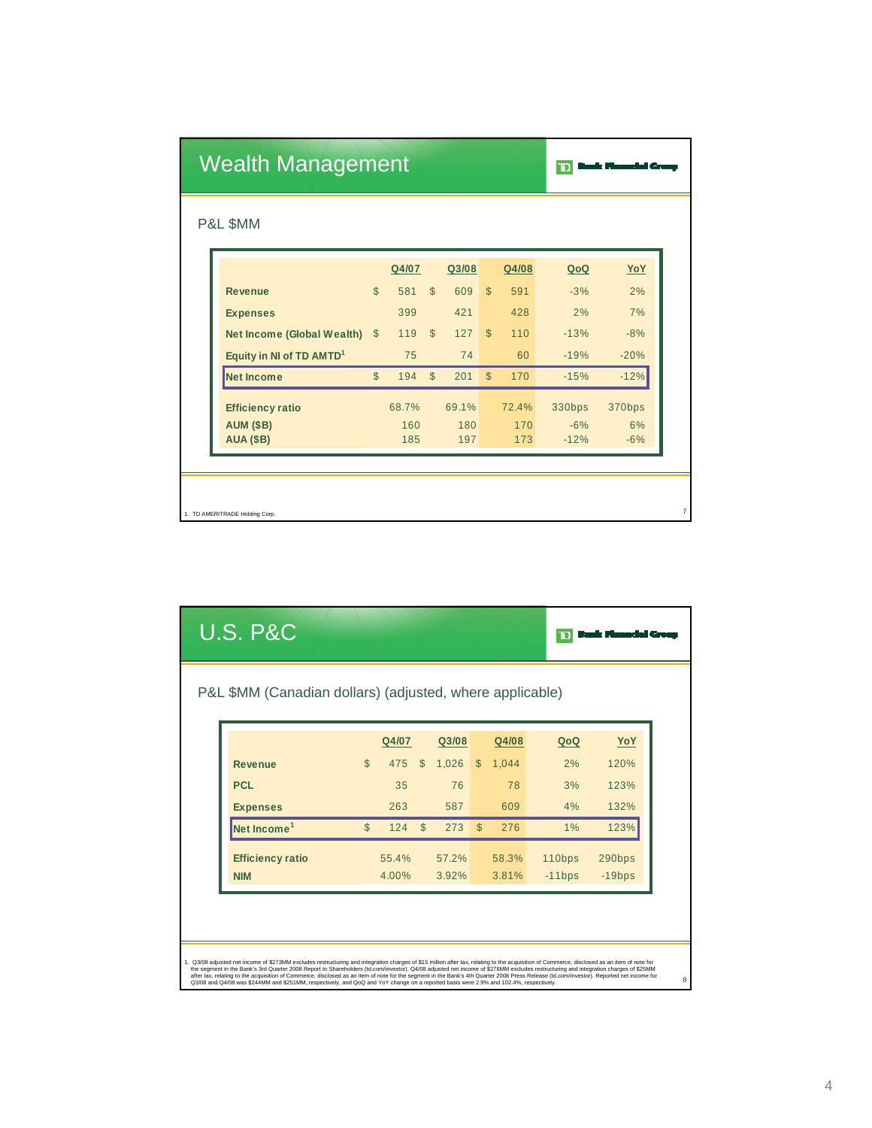|          | <b>Wealth Management</b>             | סד           |       |              |       |              |       |        |        |  |
|----------|--------------------------------------|--------------|-------|--------------|-------|--------------|-------|--------|--------|--|
| P&L \$MM |                                      |              |       |              |       |              |       |        |        |  |
|          |                                      |              | Q4/07 |              | Q3/08 |              | Q4/08 | QoQ    | YoY    |  |
|          | <b>Revenue</b>                       | $\mathbb{S}$ | 581   | $\mathbb{S}$ | 609   | $\mathbb{S}$ | 591   | $-3%$  | 2%     |  |
|          | <b>Expenses</b>                      |              | 399   |              | 421   |              | 428   | 2%     | 7%     |  |
|          | Net Income (Global Wealth)           | $\mathbb{S}$ | 119   | $\mathbb{S}$ | 127   | $\mathbb{S}$ | 110   | $-13%$ | $-8%$  |  |
|          | Equity in NI of TD AMTD <sup>1</sup> |              | 75    |              | 74    |              | 60    | $-19%$ | $-20%$ |  |
|          | <b>Net Income</b>                    | $\mathbb{S}$ | 194   | $\mathbb{S}$ | 201   | $\mathbb{S}$ | 170   | $-15%$ | $-12%$ |  |
|          | <b>Efficiency ratio</b>              |              | 68.7% |              | 69.1% |              | 72.4% | 330bps | 370bps |  |
|          | <b>AUM (\$B)</b>                     |              | 160   |              | 180   |              | 170   | $-6%$  | 6%     |  |
|          | <b>AUA (\$B)</b>                     |              | 185   |              | 197   |              | 173   | $-12%$ | $-6%$  |  |

| <b>U.S. P&amp;C</b>                                      |              |       |              |       |              |       |          |          |
|----------------------------------------------------------|--------------|-------|--------------|-------|--------------|-------|----------|----------|
| P&L \$MM (Canadian dollars) (adjusted, where applicable) |              |       |              |       |              |       |          |          |
|                                                          |              | Q4/07 |              | Q3/08 |              | Q4/08 | QoQ      | YoY      |
| <b>Revenue</b>                                           | $\mathbb{S}$ | 475   | $\mathbb{S}$ | 1,026 | $\mathbb{S}$ | 1.044 | 2%       | 120%     |
| <b>PCL</b>                                               |              | 35    |              | 76    |              | 78    | 3%       | 123%     |
| <b>Expenses</b>                                          |              | 263   |              | 587   |              | 609   | 4%       | 132%     |
| Net Income <sup>1</sup>                                  | $\mathbb{S}$ | 124   | $\mathbb{S}$ | 273   | $\mathbb{S}$ | 276   | $1\%$    | 123%     |
| <b>Efficiency ratio</b>                                  |              | 55.4% |              | 57.2% |              | 58.3% | 110bps   | 290bps   |
| <b>NIM</b>                                               |              | 4.00% |              | 3.92% |              | 3.81% | $-11bps$ | $-19bps$ |
|                                                          |              |       |              |       |              |       |          |          |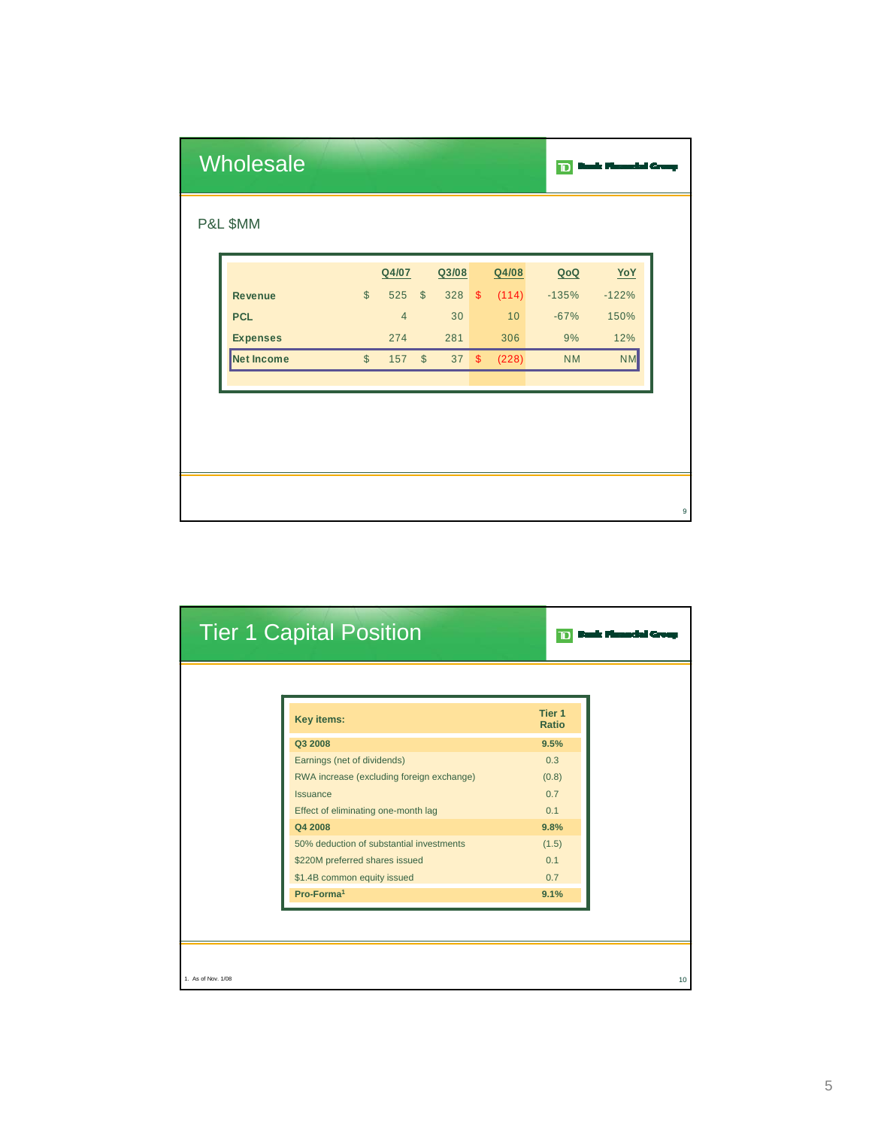| <b>Wholesale</b>  |                         |                |               |       |               |       | $\mathbf{D}$ |           |
|-------------------|-------------------------|----------------|---------------|-------|---------------|-------|--------------|-----------|
| P&L \$MM          |                         |                |               |       |               |       |              |           |
|                   |                         | Q4/07          |               | Q3/08 |               | Q4/08 | QoQ          | YoY       |
| <b>Revenue</b>    | $\mathbb{S}$            | 525            | $\mathcal{S}$ | 328   | $\sqrt[6]{3}$ | (114) | $-135%$      | $-122%$   |
| <b>PCL</b>        |                         | $\overline{4}$ |               | 30    |               | 10    | $-67%$       | 150%      |
| <b>Expenses</b>   |                         | 274            |               | 281   |               | 306   | 9%           | 12%       |
| <b>Net Income</b> | $\sqrt[6]{\frac{1}{2}}$ | 157            | $\mathbb{S}$  | 37S   |               | (228) | <b>NM</b>    | <b>NM</b> |
|                   |                         |                |               |       |               |       |              |           |
|                   |                         |                |               |       |               |       |              |           |
|                   |                         |                |               |       |               |       |              |           |
|                   |                         |                |               |       |               |       |              |           |
|                   |                         |                |               |       |               |       |              |           |
|                   |                         |                |               |       |               |       |              |           |

| <b>Tier 1 Capital Position</b>            | סו                |
|-------------------------------------------|-------------------|
|                                           | Tier <sub>1</sub> |
| Key items:                                | <b>Ratio</b>      |
| Q3 2008                                   | 9.5%              |
| Earnings (net of dividends)               | 0.3               |
| RWA increase (excluding foreign exchange) | (0.8)             |
| <b>Issuance</b>                           | 0.7               |
| Effect of eliminating one-month lag       | 0.1               |
| Q4 2008                                   | 9.8%              |
| 50% deduction of substantial investments  | (1.5)             |
| \$220M preferred shares issued            | 0.1               |
| \$1.4B common equity issued               | 0.7               |
| Pro-Forma <sup>1</sup>                    | 9.1%              |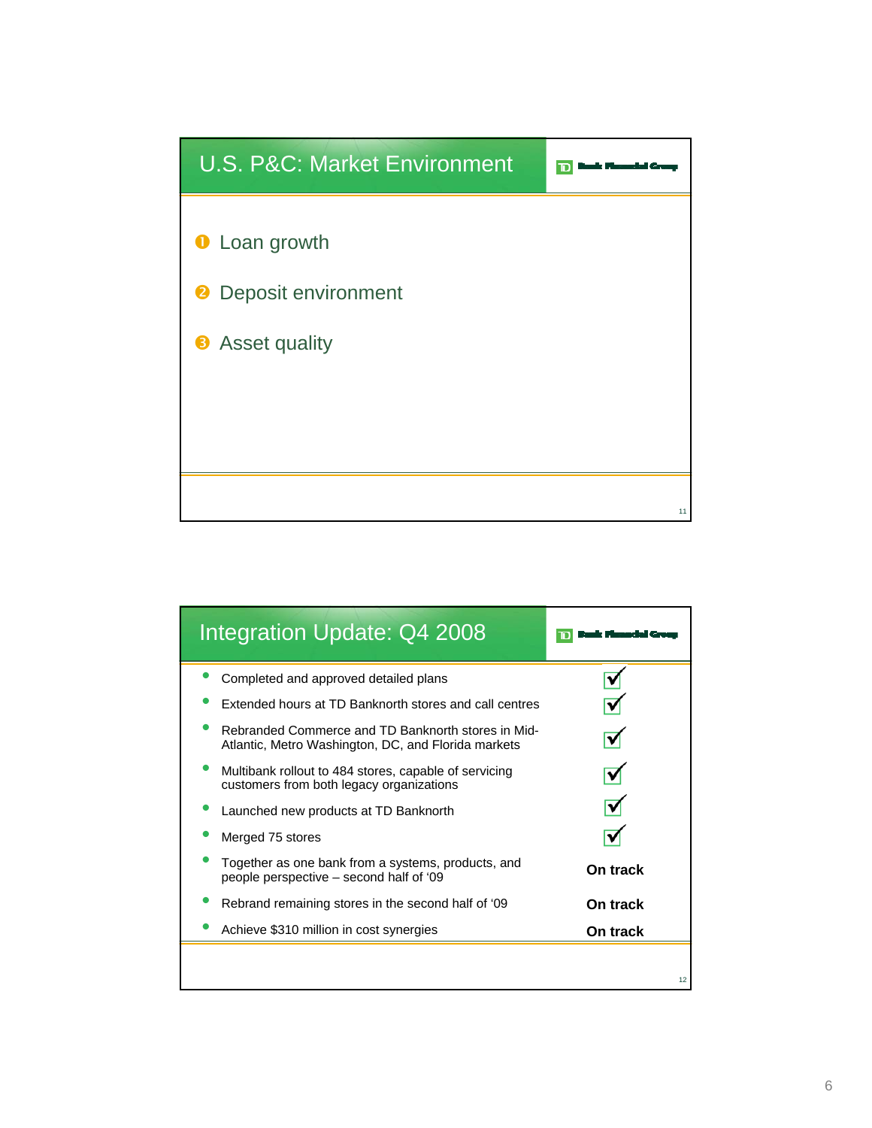

| <b>Integration Update: Q4 2008</b>                                                                        |          |
|-----------------------------------------------------------------------------------------------------------|----------|
| Completed and approved detailed plans                                                                     |          |
| Extended hours at TD Banknorth stores and call centres                                                    |          |
| Rebranded Commerce and TD Banknorth stores in Mid-<br>Atlantic, Metro Washington, DC, and Florida markets |          |
| Multibank rollout to 484 stores, capable of servicing<br>customers from both legacy organizations         |          |
| Launched new products at TD Banknorth                                                                     |          |
| Merged 75 stores                                                                                          |          |
| Together as one bank from a systems, products, and<br>people perspective – second half of '09             | On track |
| Rebrand remaining stores in the second half of '09                                                        | On track |
| Achieve \$310 million in cost synergies                                                                   | On track |
|                                                                                                           | 12       |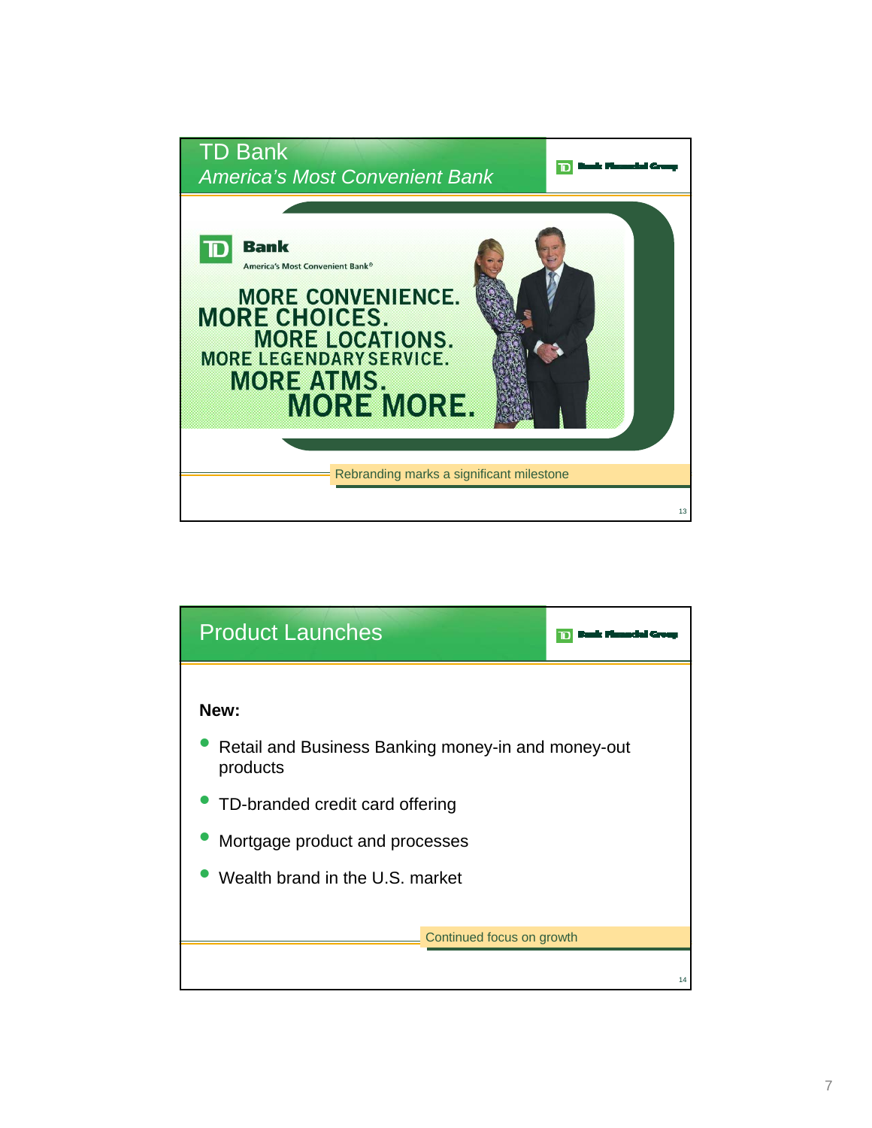

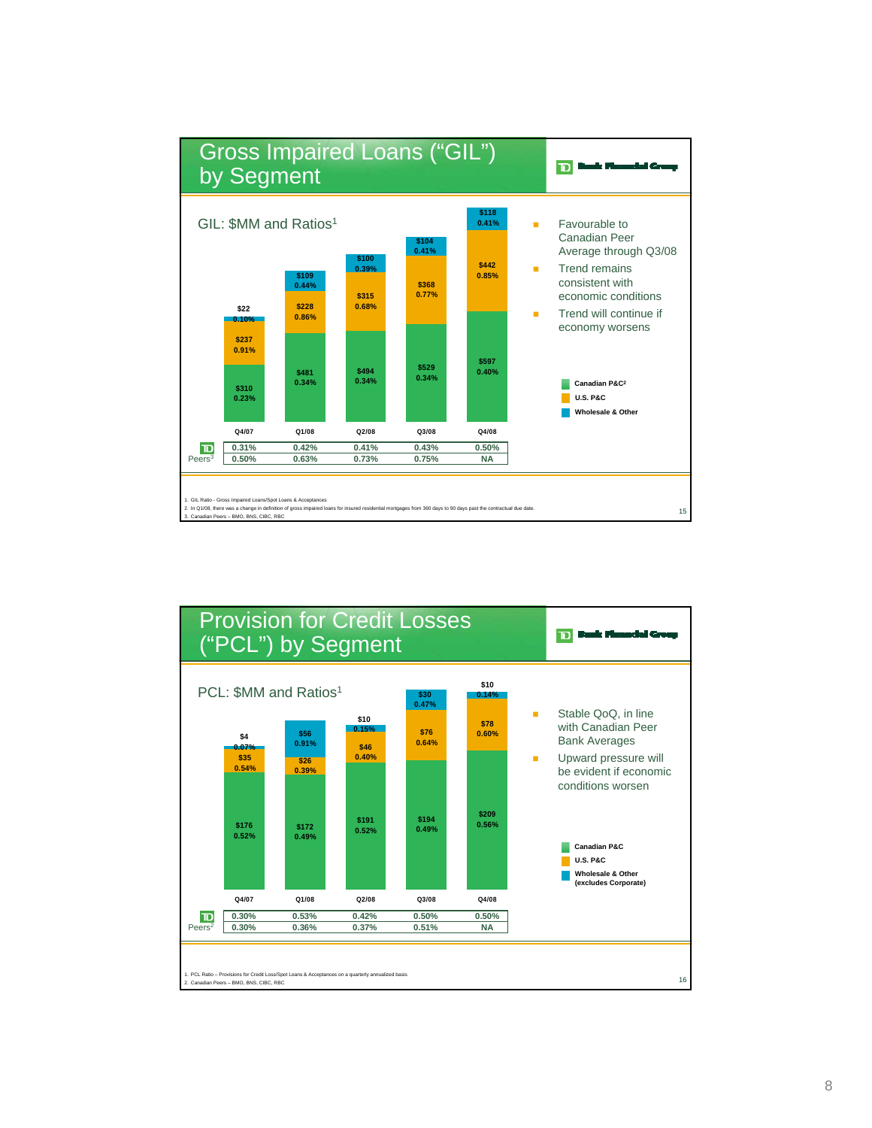

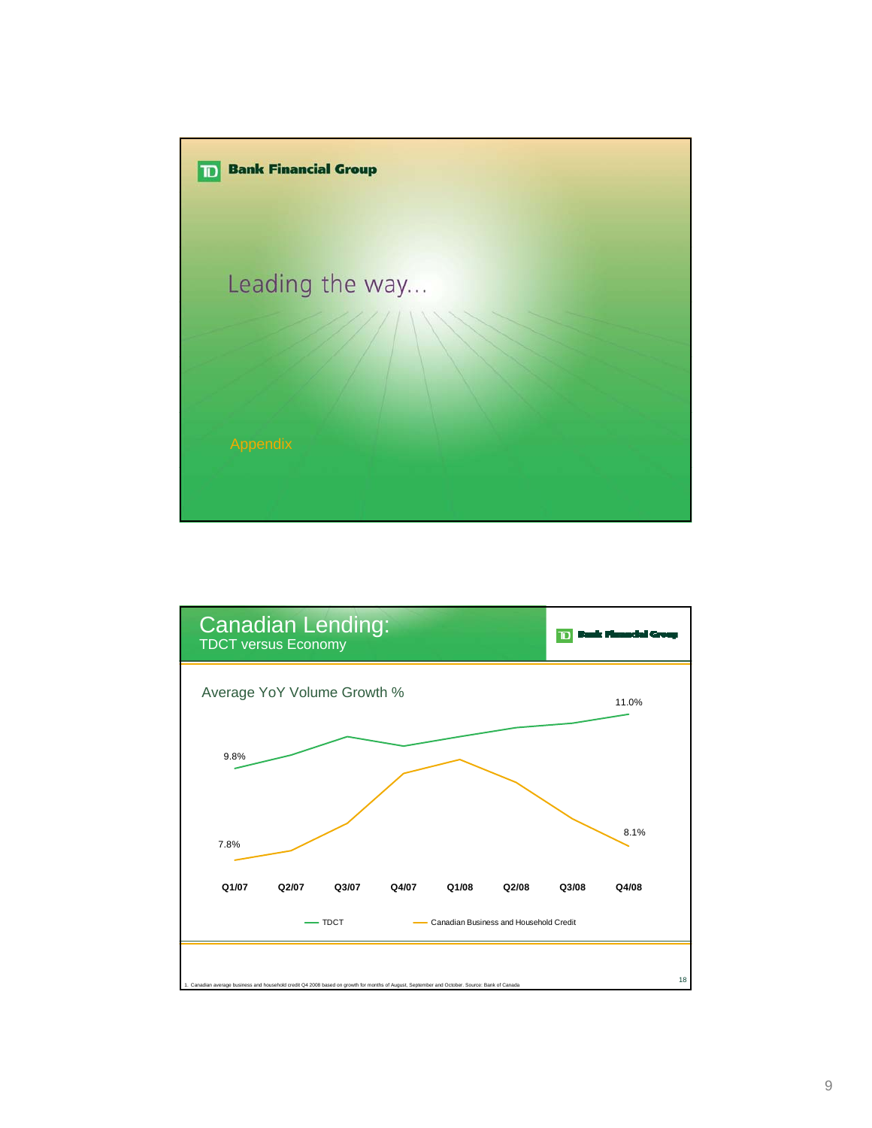

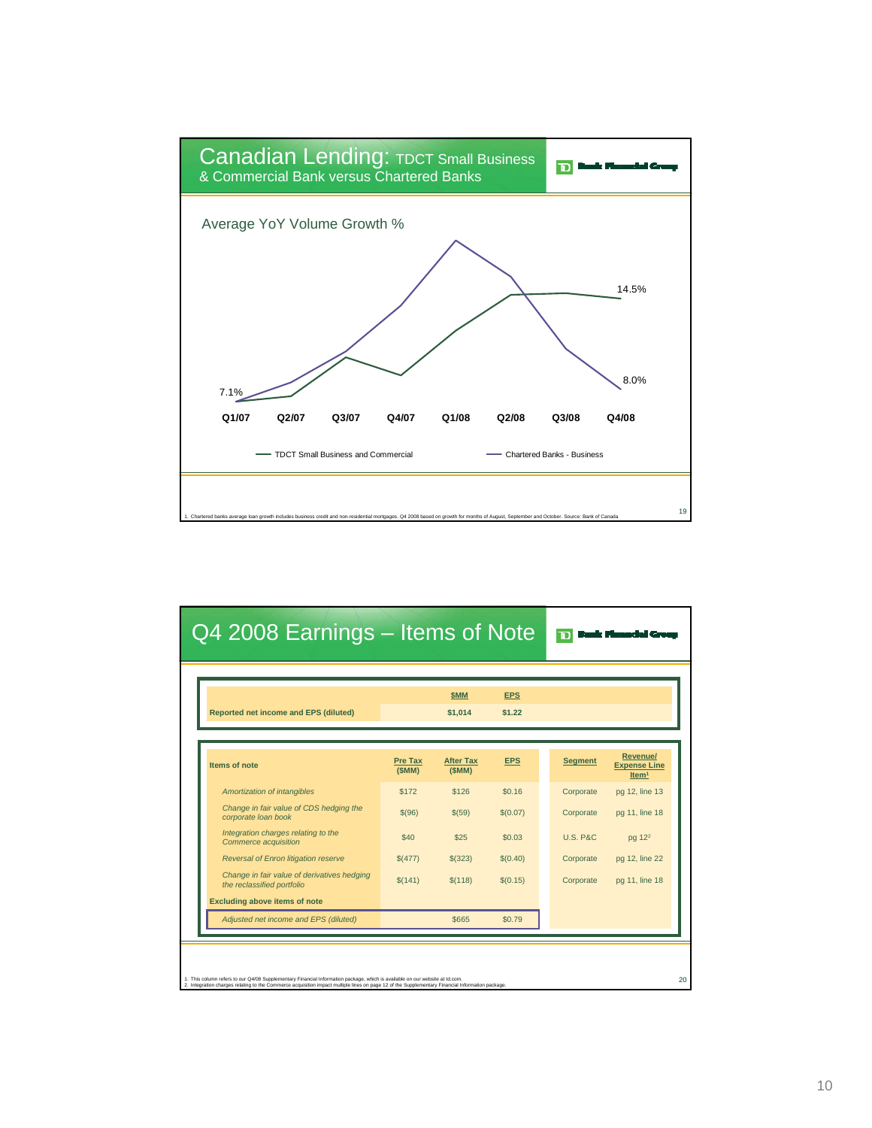

| Q4 2008 Earnings – Items of Note |                           |                      |                     |                                                             |  |  |  |  |  |
|----------------------------------|---------------------------|----------------------|---------------------|-------------------------------------------------------------|--|--|--|--|--|
|                                  | <b>SMM</b><br>\$1,014     | <b>EPS</b><br>\$1.22 |                     |                                                             |  |  |  |  |  |
| <b>Pre Tax</b><br>(SMM)          | <b>After Tax</b><br>(SMM) | <b>EPS</b>           | <b>Segment</b>      | <b>Revenue/</b><br><b>Expense Line</b><br>Item <sup>1</sup> |  |  |  |  |  |
| \$172                            | \$126                     | \$0.16               | Corporate           | pg 12, line 13                                              |  |  |  |  |  |
| \$(96)                           | \$(59)                    | \$(0.07)             | Corporate           | pg 11, line 18                                              |  |  |  |  |  |
| \$40                             | \$25                      | \$0.03               | <b>U.S. P&amp;C</b> | pg 12 <sup>2</sup>                                          |  |  |  |  |  |
| \$(477)                          | \$ (323)                  | \$(0.40)             | Corporate           | pg 12, line 22                                              |  |  |  |  |  |
| \$(141)                          | \$(118)                   | \$(0.15)             | Corporate           | pg 11, line 18                                              |  |  |  |  |  |
|                                  |                           |                      |                     |                                                             |  |  |  |  |  |
|                                  | \$665                     | \$0.79               |                     |                                                             |  |  |  |  |  |
|                                  |                           |                      |                     |                                                             |  |  |  |  |  |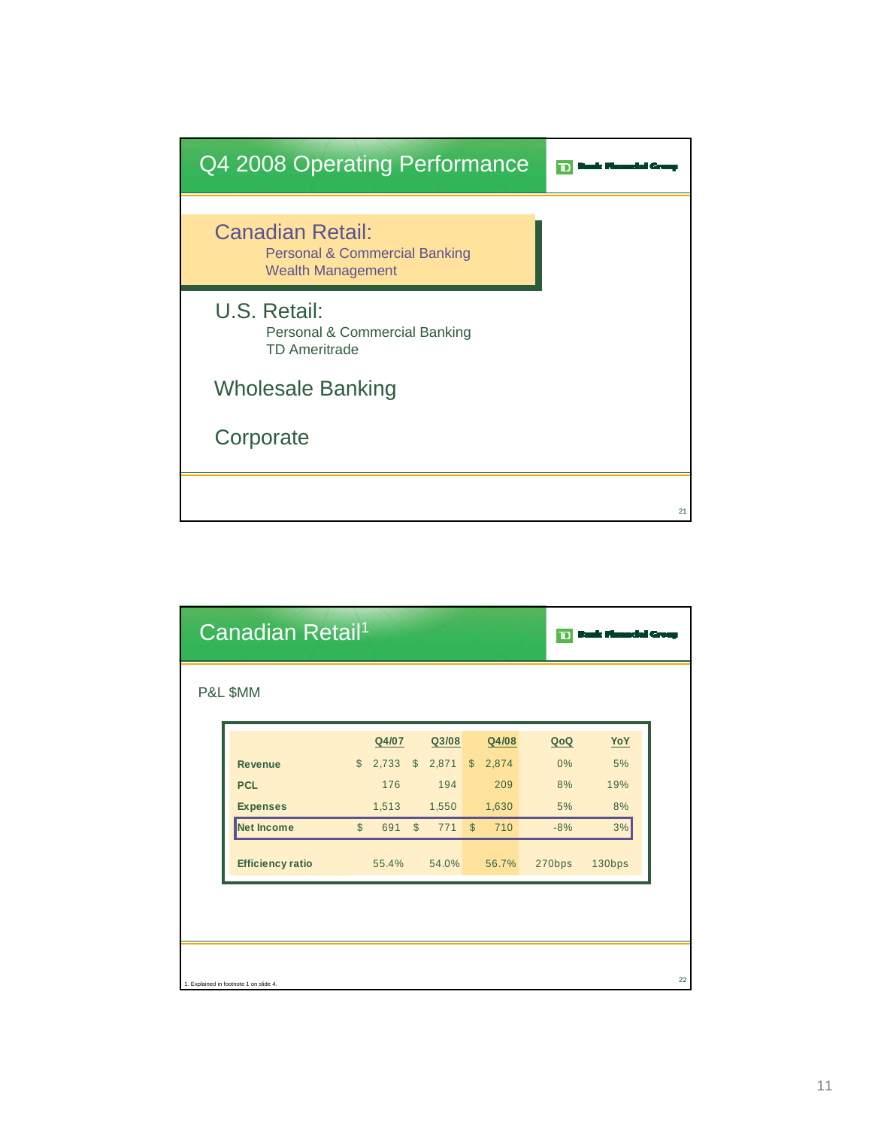

| Canadian Retail <sup>1</sup><br>םר     |              |       |               |        |            |       |        |            |    |
|----------------------------------------|--------------|-------|---------------|--------|------------|-------|--------|------------|----|
| P&L \$MM                               |              |       |               |        |            |       |        |            |    |
|                                        |              | Q4/07 |               | Q3/08  |            | Q4/08 | QoQ    | <u>YoY</u> |    |
| <b>Revenue</b>                         | $\mathbb{S}$ | 2,733 | $\mathcal{S}$ | 2,871  | $\sqrt{S}$ | 2,874 | 0%     | 5%         |    |
| <b>PCL</b>                             |              | 176   |               | 194    |            | 209   | 8%     | 19%        |    |
| <b>Expenses</b>                        |              | 1,513 |               | 1,550  |            | 1,630 | 5%     | 8%         |    |
| Net Income                             | $\mathbb{S}$ | 691   | $\mathbb{S}$  | 771 \$ |            | 710   | $-8%$  | 3%         |    |
| <b>Efficiency ratio</b>                |              | 55.4% |               | 54.0%  |            | 56.7% | 270bps | 130bps     |    |
|                                        |              |       |               |        |            |       |        |            |    |
|                                        |              |       |               |        |            |       |        |            |    |
|                                        |              |       |               |        |            |       |        |            |    |
|                                        |              |       |               |        |            |       |        |            |    |
| 1. Explained in footnote 1 on slide 4. |              |       |               |        |            |       |        |            | 22 |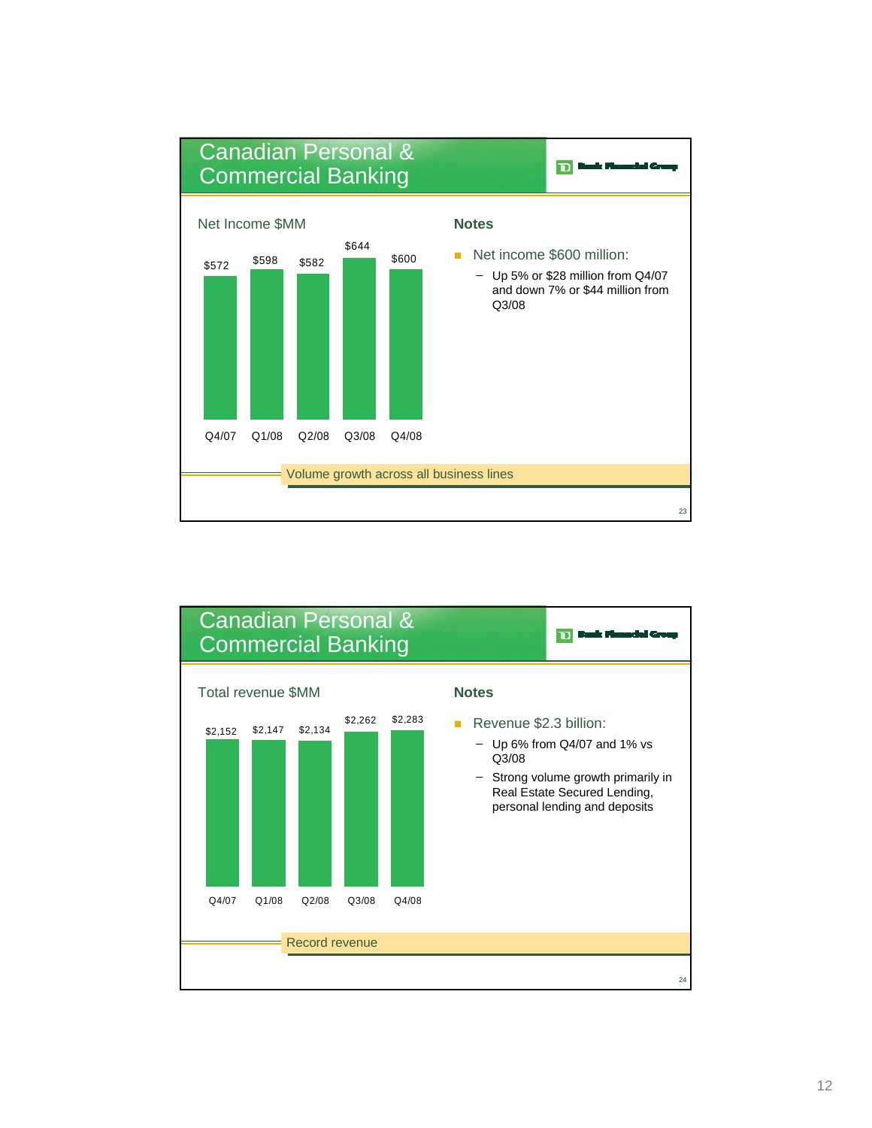

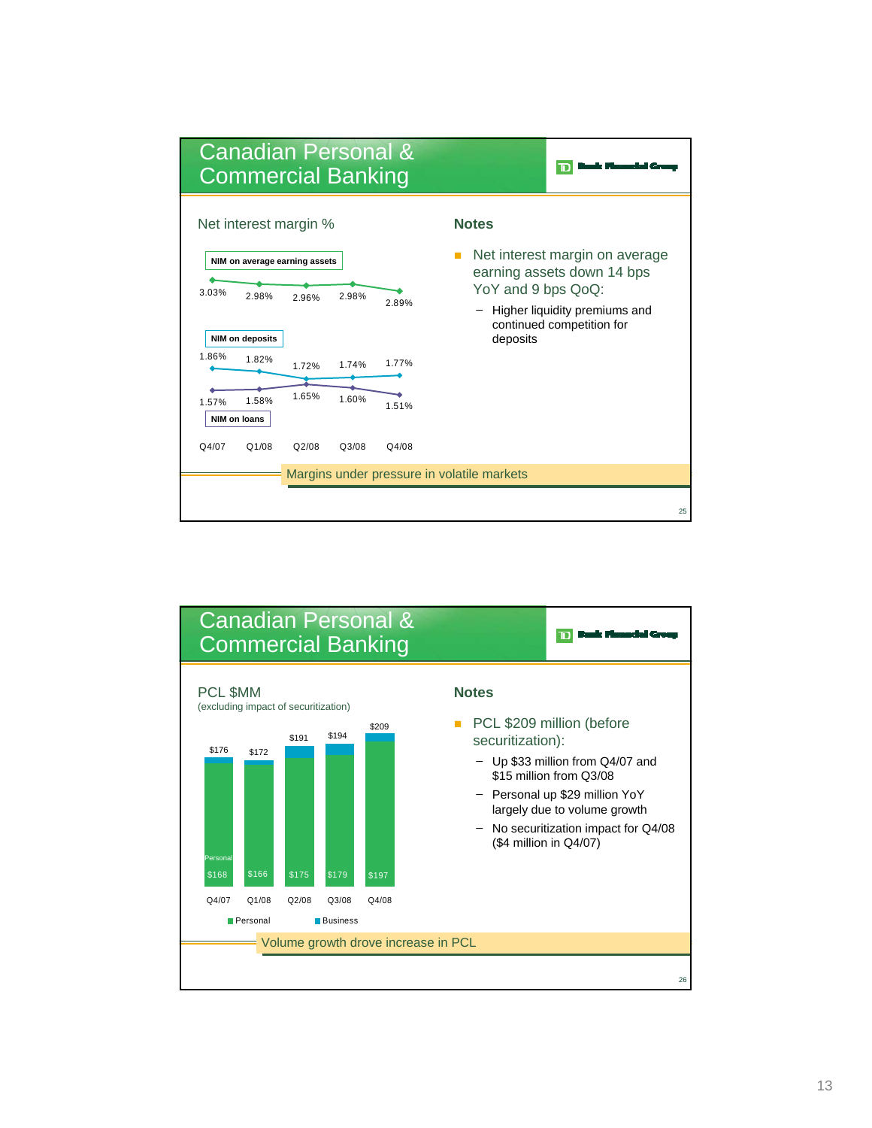

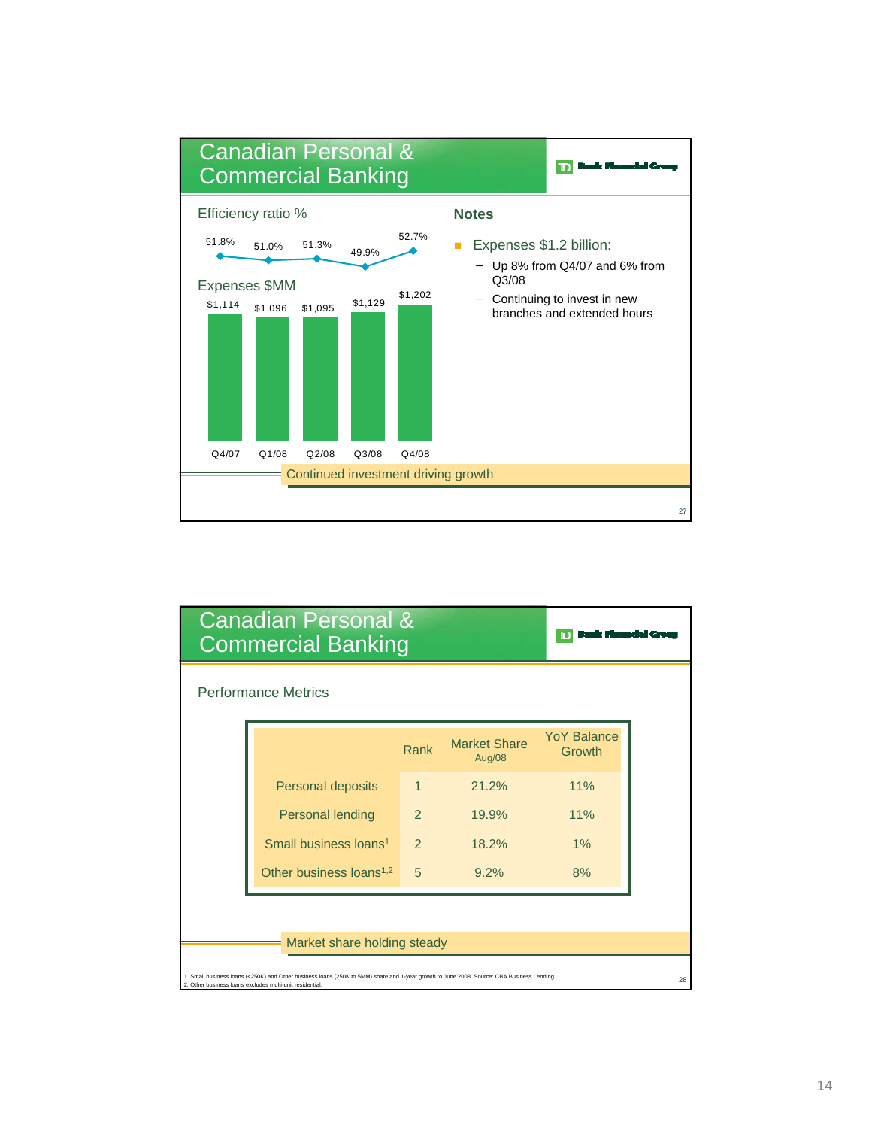

| <b>Canadian Personal &amp;</b><br><b>Commercial Banking</b>                                                                                                                                           |               |                               |                              |    |  |  |  |  |  |
|-------------------------------------------------------------------------------------------------------------------------------------------------------------------------------------------------------|---------------|-------------------------------|------------------------------|----|--|--|--|--|--|
| <b>Performance Metrics</b>                                                                                                                                                                            |               |                               |                              |    |  |  |  |  |  |
|                                                                                                                                                                                                       | Rank          | <b>Market Share</b><br>Aug/08 | <b>YoY Balance</b><br>Growth |    |  |  |  |  |  |
| <b>Personal deposits</b>                                                                                                                                                                              | 1             | 21.2%                         | 11%                          |    |  |  |  |  |  |
| <b>Personal lending</b>                                                                                                                                                                               | $\mathcal{P}$ | 19.9%                         | 11%                          |    |  |  |  |  |  |
| Small business loans <sup>1</sup>                                                                                                                                                                     | $\mathcal{P}$ | 18.2%                         | 1%                           |    |  |  |  |  |  |
| Other business loans <sup>1,2</sup>                                                                                                                                                                   | 5             | 9.2%                          | 8%                           |    |  |  |  |  |  |
|                                                                                                                                                                                                       |               |                               |                              |    |  |  |  |  |  |
| Market share holding steady                                                                                                                                                                           |               |                               |                              |    |  |  |  |  |  |
| 1. Small business loans (<250K) and Other business loans (250K to 5MM) share and 1-year growth to June 2008. Source: CBA Business Lending<br>2. Other business loans excludes multi-unit residential. |               |                               |                              | 28 |  |  |  |  |  |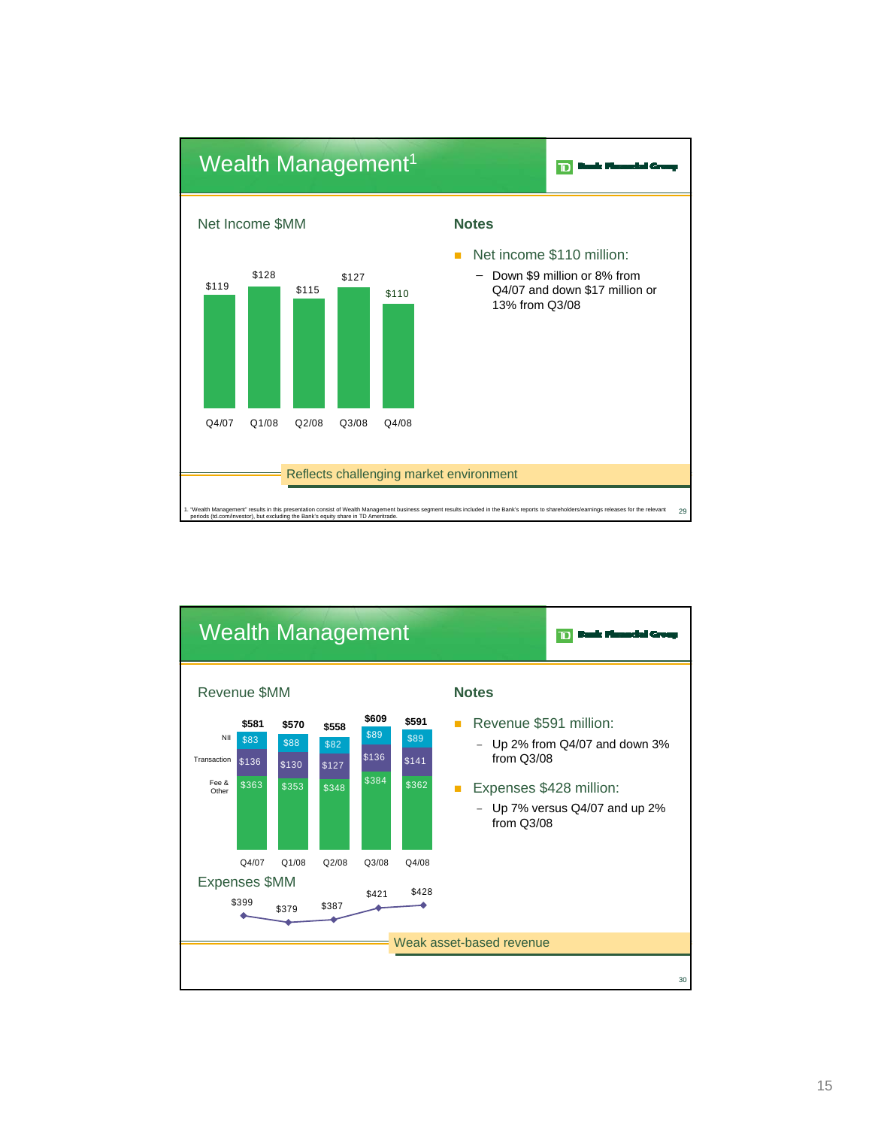

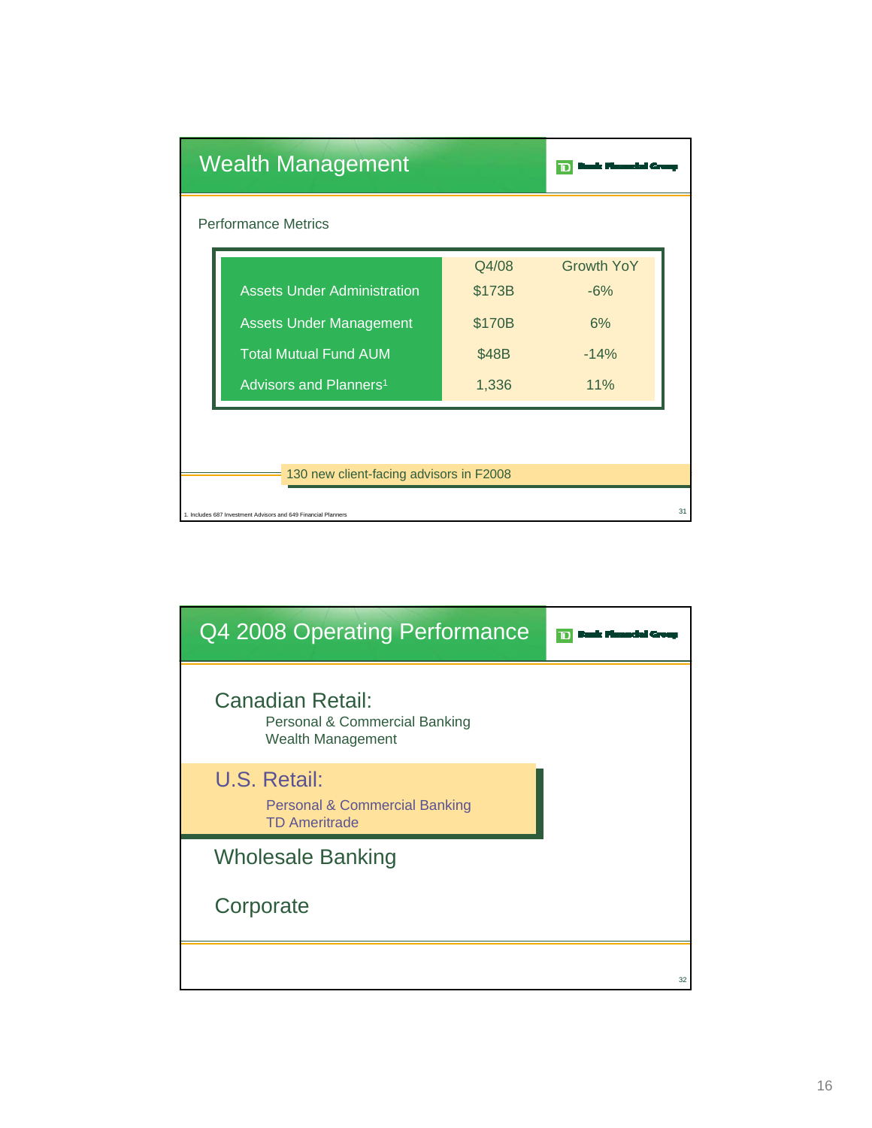|                            | <b>Wealth Management</b>                                       |        |                   |    |  |  |  |  |  |  |
|----------------------------|----------------------------------------------------------------|--------|-------------------|----|--|--|--|--|--|--|
| <b>Performance Metrics</b> |                                                                |        |                   |    |  |  |  |  |  |  |
|                            |                                                                | Q4/08  | <b>Growth YoY</b> |    |  |  |  |  |  |  |
|                            | <b>Assets Under Administration</b>                             | \$173B | $-6%$             |    |  |  |  |  |  |  |
|                            | <b>Assets Under Management</b>                                 | \$170B | 6%                |    |  |  |  |  |  |  |
|                            | <b>Total Mutual Fund AUM</b>                                   | \$48B  | $-14%$            |    |  |  |  |  |  |  |
|                            | Advisors and Planners <sup>1</sup>                             | 1,336  | 11%               |    |  |  |  |  |  |  |
|                            |                                                                |        |                   |    |  |  |  |  |  |  |
|                            |                                                                |        |                   |    |  |  |  |  |  |  |
|                            | 130 new client-facing advisors in F2008                        |        |                   |    |  |  |  |  |  |  |
|                            | 1. Includes 687 Investment Advisors and 649 Financial Planners |        |                   | 31 |  |  |  |  |  |  |

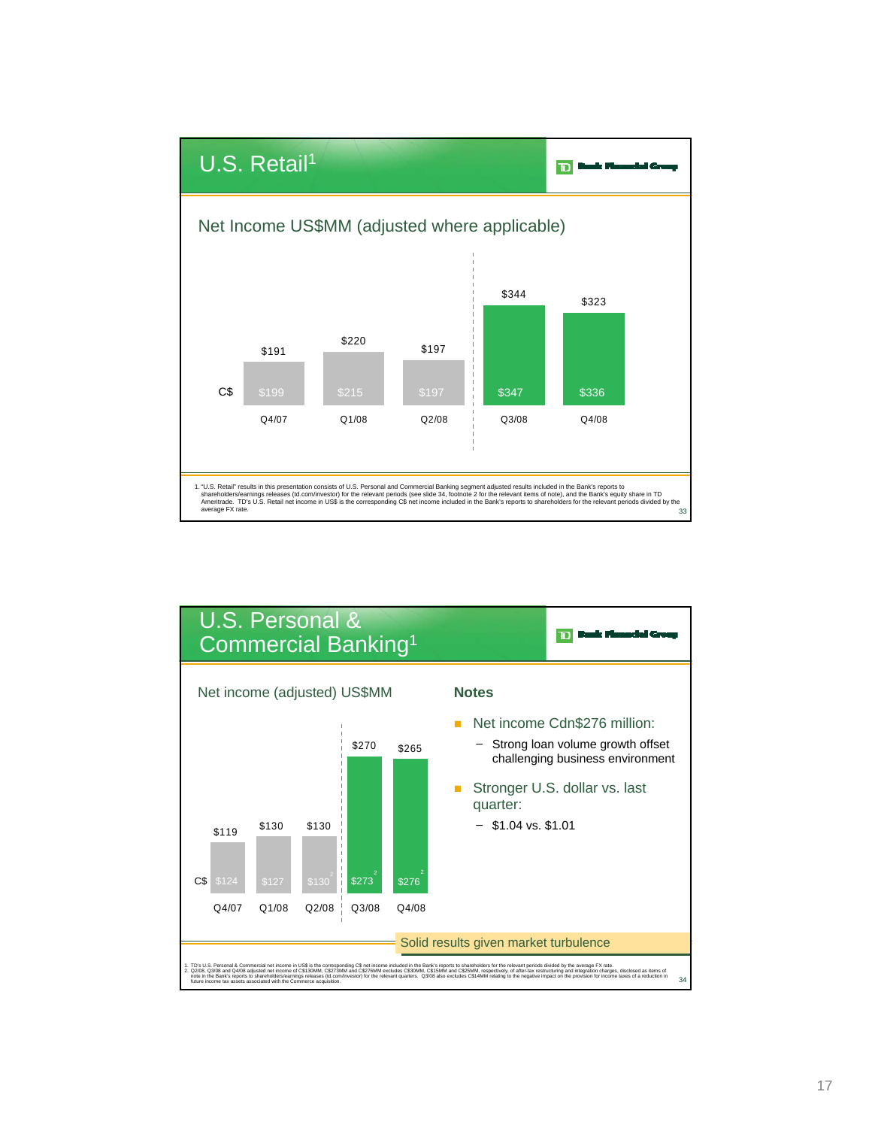

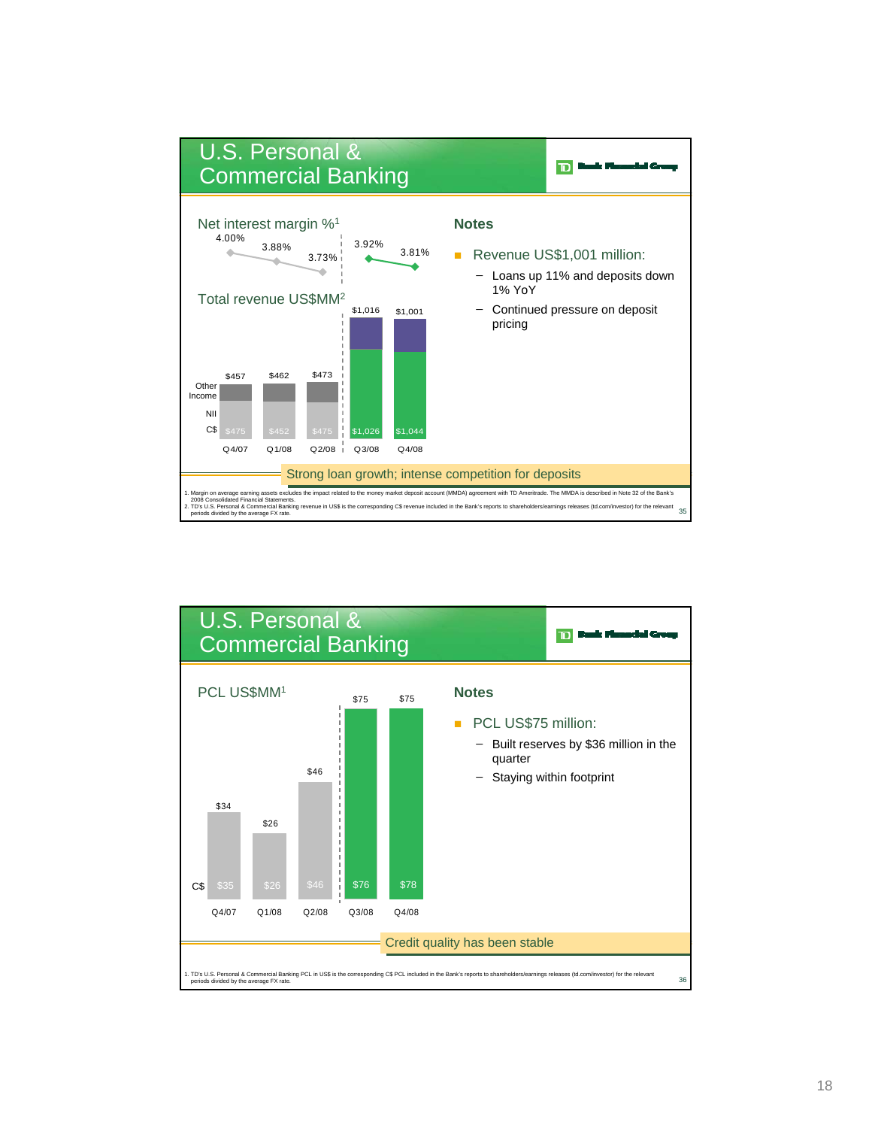

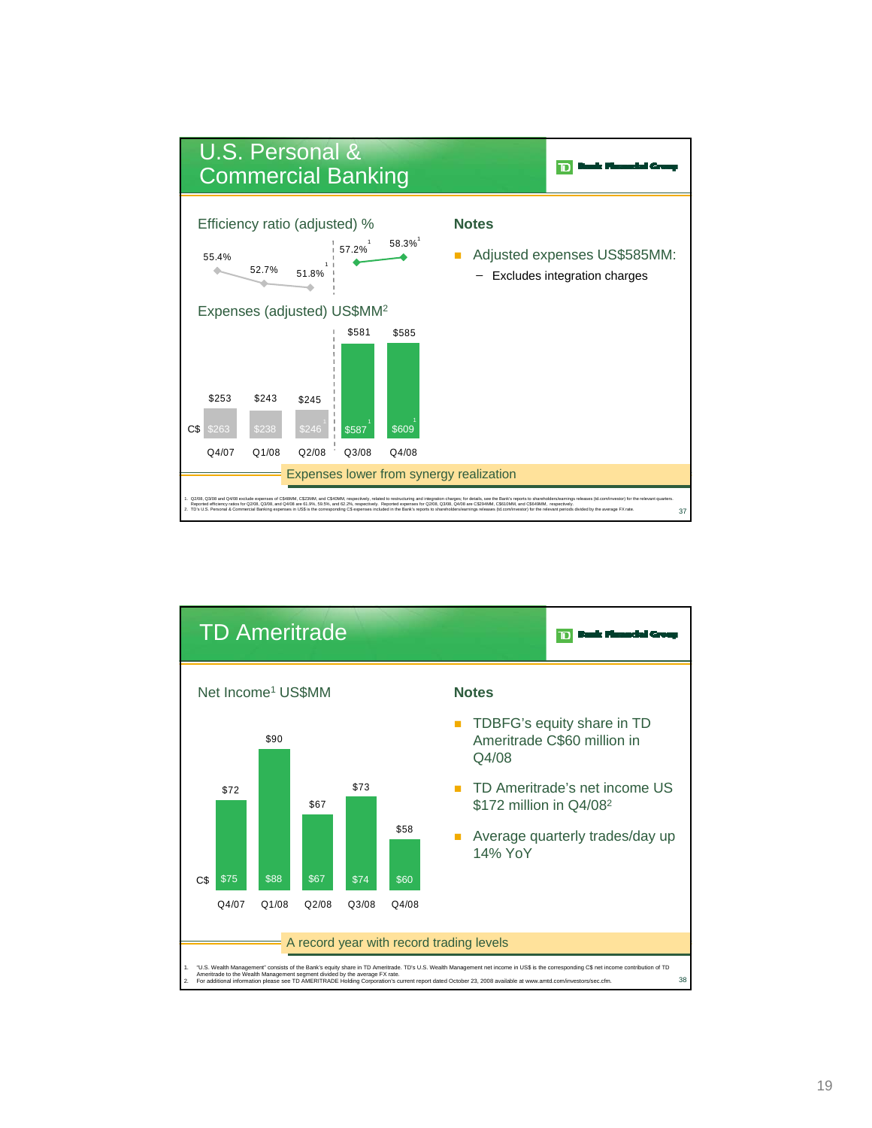

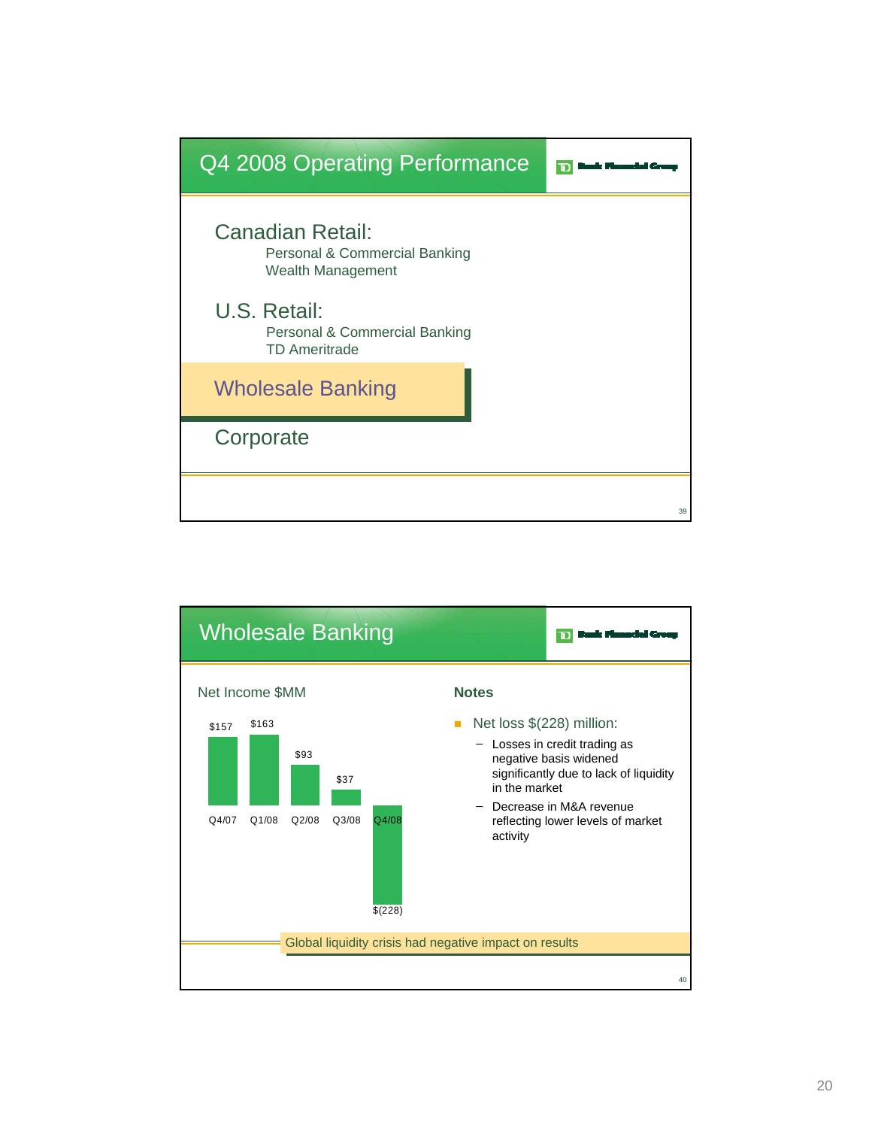

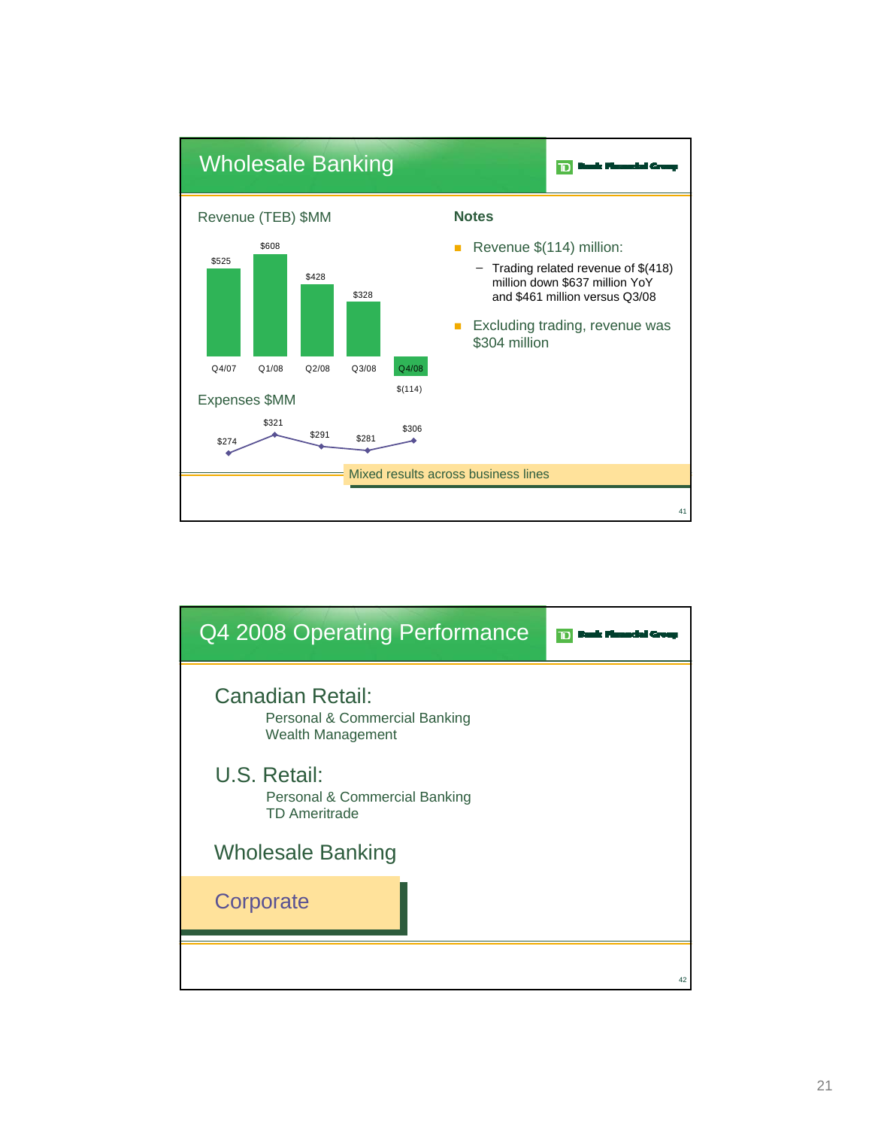